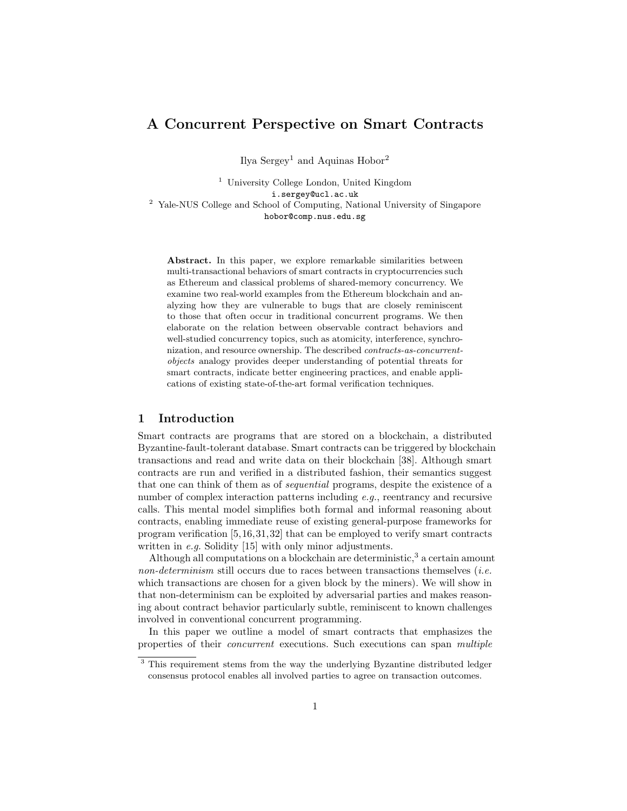# A Concurrent Perspective on Smart Contracts

Ilya  $Sergey<sup>1</sup>$  and Aquinas Hobor<sup>2</sup>

<sup>1</sup> University College London, United Kingdom i.sergey@ucl.ac.uk <sup>2</sup> Yale-NUS College and School of Computing, National University of Singapore hobor@comp.nus.edu.sg

Abstract. In this paper, we explore remarkable similarities between multi-transactional behaviors of smart contracts in cryptocurrencies such as Ethereum and classical problems of shared-memory concurrency. We examine two real-world examples from the Ethereum blockchain and analyzing how they are vulnerable to bugs that are closely reminiscent to those that often occur in traditional concurrent programs. We then elaborate on the relation between observable contract behaviors and well-studied concurrency topics, such as atomicity, interference, synchronization, and resource ownership. The described contracts-as-concurrentobjects analogy provides deeper understanding of potential threats for smart contracts, indicate better engineering practices, and enable applications of existing state-of-the-art formal verification techniques.

# 1 Introduction

Smart contracts are programs that are stored on a blockchain, a distributed Byzantine-fault-tolerant database. Smart contracts can be triggered by blockchain transactions and read and write data on their blockchain [\[38\]](#page-14-0). Although smart contracts are run and verified in a distributed fashion, their semantics suggest that one can think of them as of sequential programs, despite the existence of a number of complex interaction patterns including  $e.g.,$  reentrancy and recursive calls. This mental model simplifies both formal and informal reasoning about contracts, enabling immediate reuse of existing general-purpose frameworks for program verification [\[5,](#page-13-0)[16,](#page-13-1)[31,](#page-14-1)[32\]](#page-14-2) that can be employed to verify smart contracts written in *e.g.* Solidity [\[15\]](#page-13-2) with only minor adjustments.

Although all computations on a blockchain are deterministic,<sup>[3](#page-0-0)</sup> a certain amount non-determinism still occurs due to races between transactions themselves *(i.e.*) which transactions are chosen for a given block by the miners). We will show in that non-determinism can be exploited by adversarial parties and makes reasoning about contract behavior particularly subtle, reminiscent to known challenges involved in conventional concurrent programming.

In this paper we outline a model of smart contracts that emphasizes the properties of their concurrent executions. Such executions can span multiple

<span id="page-0-0"></span><sup>&</sup>lt;sup>3</sup> This requirement stems from the way the underlying Byzantine distributed ledger consensus protocol enables all involved parties to agree on transaction outcomes.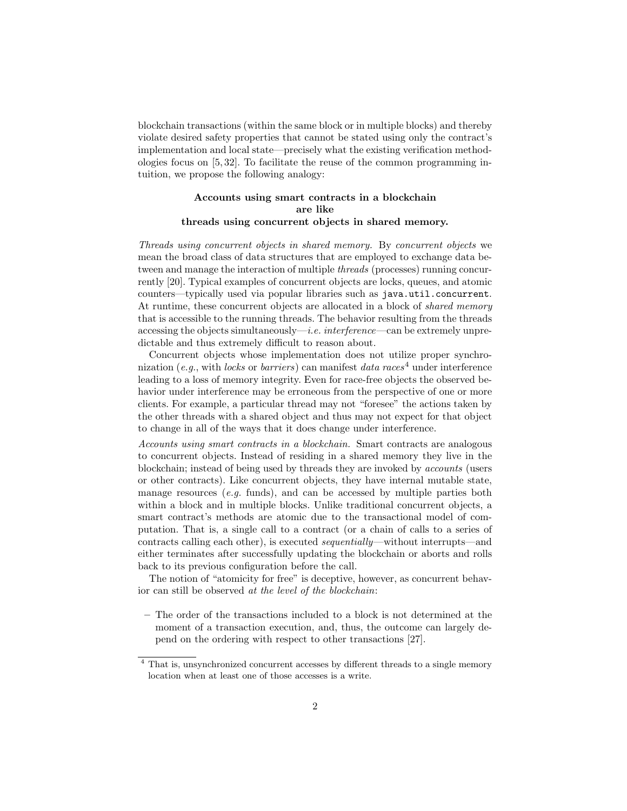blockchain transactions (within the same block or in multiple blocks) and thereby violate desired safety properties that cannot be stated using only the contract's implementation and local state—precisely what the existing verification methodologies focus on [\[5,](#page-13-0) [32\]](#page-14-2). To facilitate the reuse of the common programming intuition, we propose the following analogy:

## Accounts using smart contracts in a blockchain are like threads using concurrent objects in shared memory.

Threads using concurrent objects in shared memory. By concurrent objects we mean the broad class of data structures that are employed to exchange data between and manage the interaction of multiple *threads* (processes) running concurrently [\[20\]](#page-14-3). Typical examples of concurrent objects are locks, queues, and atomic counters—typically used via popular libraries such as java.util.concurrent. At runtime, these concurrent objects are allocated in a block of shared memory that is accessible to the running threads. The behavior resulting from the threads  $accessing the objects simultaneously—i.e. interference—can be extremely unpre$ dictable and thus extremely difficult to reason about.

Concurrent objects whose implementation does not utilize proper synchro-nization (e.g., with locks or barriers) can manifest data races<sup>[4](#page-1-0)</sup> under interference leading to a loss of memory integrity. Even for race-free objects the observed behavior under interference may be erroneous from the perspective of one or more clients. For example, a particular thread may not "foresee" the actions taken by the other threads with a shared object and thus may not expect for that object to change in all of the ways that it does change under interference.

Accounts using smart contracts in a blockchain. Smart contracts are analogous to concurrent objects. Instead of residing in a shared memory they live in the blockchain; instead of being used by threads they are invoked by accounts (users or other contracts). Like concurrent objects, they have internal mutable state, manage resources  $(e.g.$  funds), and can be accessed by multiple parties both within a block and in multiple blocks. Unlike traditional concurrent objects, a smart contract's methods are atomic due to the transactional model of computation. That is, a single call to a contract (or a chain of calls to a series of contracts calling each other), is executed sequentially—without interrupts—and either terminates after successfully updating the blockchain or aborts and rolls back to its previous configuration before the call.

The notion of "atomicity for free" is deceptive, however, as concurrent behavior can still be observed at the level of the blockchain:

– The order of the transactions included to a block is not determined at the moment of a transaction execution, and, thus, the outcome can largely depend on the ordering with respect to other transactions [\[27\]](#page-14-4).

<span id="page-1-0"></span><sup>4</sup> That is, unsynchronized concurrent accesses by different threads to a single memory location when at least one of those accesses is a write.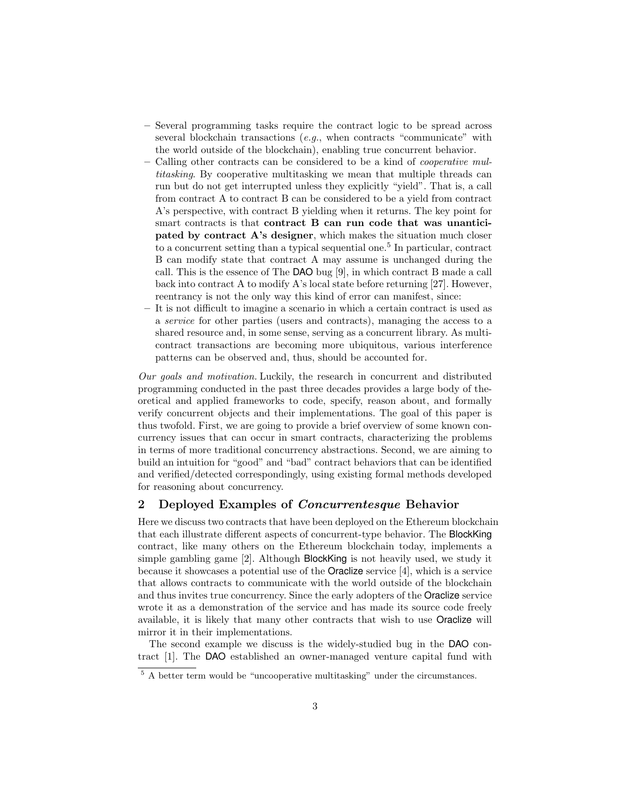- Several programming tasks require the contract logic to be spread across several blockchain transactions  $(e.g.,$  when contracts "communicate" with the world outside of the blockchain), enabling true concurrent behavior.
- Calling other contracts can be considered to be a kind of cooperative multitasking. By cooperative multitasking we mean that multiple threads can run but do not get interrupted unless they explicitly "yield". That is, a call from contract A to contract B can be considered to be a yield from contract A's perspective, with contract B yielding when it returns. The key point for smart contracts is that contract B can run code that was unanticipated by contract A's designer, which makes the situation much closer to a concurrent setting than a typical sequential one.[5](#page-2-0) In particular, contract B can modify state that contract A may assume is unchanged during the call. This is the essence of The DAO bug [\[9\]](#page-13-3), in which contract B made a call back into contract A to modify A's local state before returning [\[27\]](#page-14-4). However, reentrancy is not the only way this kind of error can manifest, since:
- It is not difficult to imagine a scenario in which a certain contract is used as a service for other parties (users and contracts), managing the access to a shared resource and, in some sense, serving as a concurrent library. As multicontract transactions are becoming more ubiquitous, various interference patterns can be observed and, thus, should be accounted for.

Our goals and motivation. Luckily, the research in concurrent and distributed programming conducted in the past three decades provides a large body of theoretical and applied frameworks to code, specify, reason about, and formally verify concurrent objects and their implementations. The goal of this paper is thus twofold. First, we are going to provide a brief overview of some known concurrency issues that can occur in smart contracts, characterizing the problems in terms of more traditional concurrency abstractions. Second, we are aiming to build an intuition for "good" and "bad" contract behaviors that can be identified and verified/detected correspondingly, using existing formal methods developed for reasoning about concurrency.

# 2 Deployed Examples of Concurrentesque Behavior

Here we discuss two contracts that have been deployed on the Ethereum blockchain that each illustrate different aspects of concurrent-type behavior. The BlockKing contract, like many others on the Ethereum blockchain today, implements a simple gambling game [\[2\]](#page-13-4). Although BlockKing is not heavily used, we study it because it showcases a potential use of the Oraclize service [\[4\]](#page-13-5), which is a service that allows contracts to communicate with the world outside of the blockchain and thus invites true concurrency. Since the early adopters of the Oraclize service wrote it as a demonstration of the service and has made its source code freely available, it is likely that many other contracts that wish to use Oraclize will mirror it in their implementations.

The second example we discuss is the widely-studied bug in the DAO contract [\[1\]](#page-13-6). The DAO established an owner-managed venture capital fund with

<span id="page-2-0"></span><sup>&</sup>lt;sup>5</sup> A better term would be "uncooperative multitasking" under the circumstances.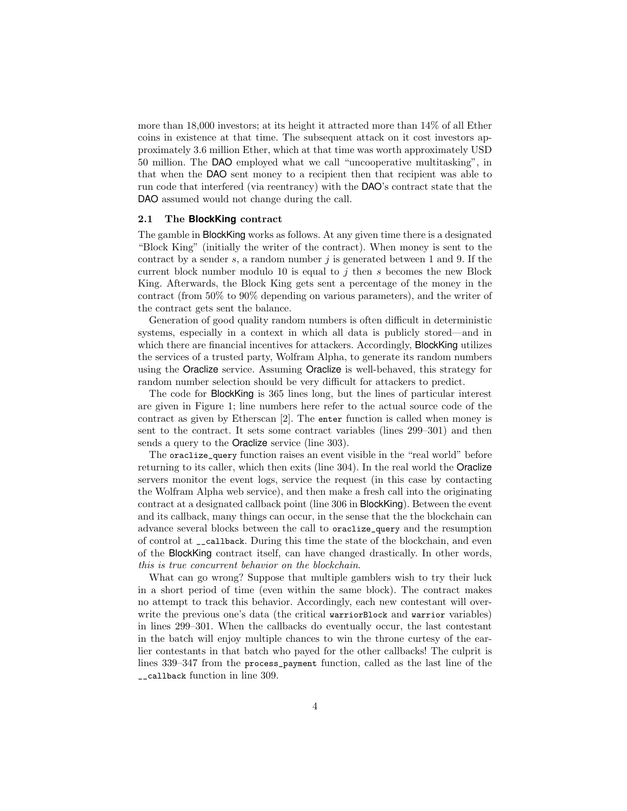more than 18,000 investors; at its height it attracted more than 14% of all Ether coins in existence at that time. The subsequent attack on it cost investors approximately 3.6 million Ether, which at that time was worth approximately USD 50 million. The DAO employed what we call "uncooperative multitasking", in that when the DAO sent money to a recipient then that recipient was able to run code that interfered (via reentrancy) with the DAO's contract state that the DAO assumed would not change during the call.

### 2.1 The **BlockKing** contract

The gamble in BlockKing works as follows. At any given time there is a designated "Block King" (initially the writer of the contract). When money is sent to the contract by a sender  $s$ , a random number  $j$  is generated between 1 and 9. If the current block number modulo 10 is equal to  $j$  then s becomes the new Block King. Afterwards, the Block King gets sent a percentage of the money in the contract (from 50% to 90% depending on various parameters), and the writer of the contract gets sent the balance.

Generation of good quality random numbers is often difficult in deterministic systems, especially in a context in which all data is publicly stored—and in which there are financial incentives for attackers. Accordingly, **BlockKing** utilizes the services of a trusted party, Wolfram Alpha, to generate its random numbers using the Oraclize service. Assuming Oraclize is well-behaved, this strategy for random number selection should be very difficult for attackers to predict.

The code for BlockKing is 365 lines long, but the lines of particular interest are given in Figure [1;](#page-4-0) line numbers here refer to the actual source code of the contract as given by Etherscan [\[2\]](#page-13-4). The enter function is called when money is sent to the contract. It sets some contract variables (lines [299–](#page-4-1)[301\)](#page-4-2) and then sends a query to the Oraclize service (line [303\)](#page-4-3).

The oraclize\_query function raises an event visible in the "real world" before returning to its caller, which then exits (line [304\)](#page-4-4). In the real world the Oraclize servers monitor the event logs, service the request (in this case by contacting the Wolfram Alpha web service), and then make a fresh call into the originating contract at a designated callback point (line [306](#page-4-5) in BlockKing). Between the event and its callback, many things can occur, in the sense that the the blockchain can advance several blocks between the call to oraclize\_query and the resumption of control at \_\_callback. During this time the state of the blockchain, and even of the BlockKing contract itself, can have changed drastically. In other words, this is true concurrent behavior on the blockchain.

What can go wrong? Suppose that multiple gamblers wish to try their luck in a short period of time (even within the same block). The contract makes no attempt to track this behavior. Accordingly, each new contestant will overwrite the previous one's data (the critical warriorBlock and warrior variables) in lines [299–](#page-4-1)[301.](#page-4-2) When the callbacks do eventually occur, the last contestant in the batch will enjoy multiple chances to win the throne curtesy of the earlier contestants in that batch who payed for the other callbacks! The culprit is lines [339](#page-4-6)[–347](#page-4-7) from the process\_payment function, called as the last line of the \_\_callback function in line [309.](#page-4-8)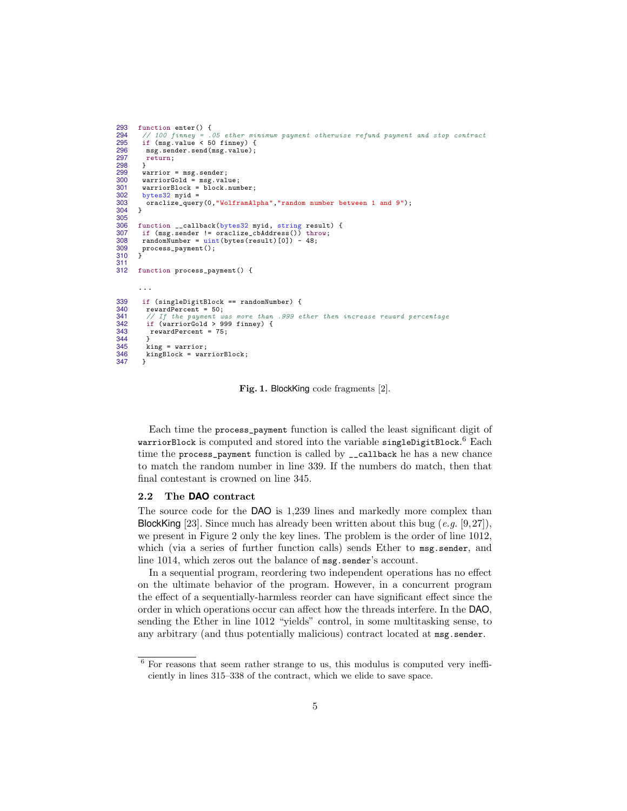```
293 function enter() {
294 // 100 finney = .05 ether minimum payment otherwise refund payment and stop contract
295 if (msg.value < 50 finney) {
296 msg.sender.send(msg.value);<br>297 return;
          return;
298<br>299
299 warrior = msg.sender;<br>300 warriorGold = msg.val
300 warriorGold = msg.value;<br>301 warriorBlock = block.num
301 warriorBlock = block.number;<br>302 bytes32 myid =
302 bytes32 myid =<br>303 oraclize query
        Social Separation oraclize_query(0,"WolframAlpha","random number between 1 and 9");
304 }
305
306 function __callback(bytes32 myid, string result) {
307 if (msg.sender != oraclize_cbAddress()) throw;
308 randomNumber = uint(bytes(result)[0]) - 48;<br>309 process payment():
        process\_payment();
310 }
311<br>312
        function process_payment() {
        ...
339 if (singleDigitBlock == randomNumber) {<br>340 rewardPercent = 50:
340 rewardPercent = 50;<br>341 // If the payment wo
341 // If the payment was more than .999 ether then increase reward percentage<br>342 if (warriorGold > 999 finney) {
342 if (warriorGold > 999 finney) {<br>343 rewardPercent = 75:
            rewardPercent = 75;
344<br>345
345 king = warrior;
         xingBlock = warriorBlock;
347
```
<span id="page-4-0"></span>Fig. 1. BlockKing code fragments [\[2\]](#page-13-4).

<span id="page-4-10"></span><span id="page-4-7"></span><span id="page-4-6"></span>Each time the process\_payment function is called the least significant digit of warriorBlock is computed and stored into the variable singleDigitBlock. $^6$  $^6$  Each time the process\_payment function is called by \_\_callback he has a new chance to match the random number in line [339.](#page-4-6) If the numbers do match, then that final contestant is crowned on line [345.](#page-4-10)

#### 2.2 The **DAO** contract

The source code for the DAO is 1,239 lines and markedly more complex than **BlockKing** [\[23\]](#page-14-5). Since much has already been written about this bug  $(e.g. [9,27])$  $(e.g. [9,27])$  $(e.g. [9,27])$  $(e.g. [9,27])$ , we present in Figure [2](#page-5-0) only the key lines. The problem is the order of line [1012,](#page-5-1) which (via a series of further function calls) sends Ether to msg.sender, and line [1014,](#page-5-2) which zeros out the balance of msg.sender's account.

In a sequential program, reordering two independent operations has no effect on the ultimate behavior of the program. However, in a concurrent program the effect of a sequentially-harmless reorder can have significant effect since the order in which operations occur can affect how the threads interfere. In the DAO, sending the Ether in line [1012](#page-5-1) "yields" control, in some multitasking sense, to any arbitrary (and thus potentially malicious) contract located at msg.sender.

<span id="page-4-9"></span> $6$  For reasons that seem rather strange to us, this modulus is computed very inefficiently in lines 315–338 of the contract, which we elide to save space.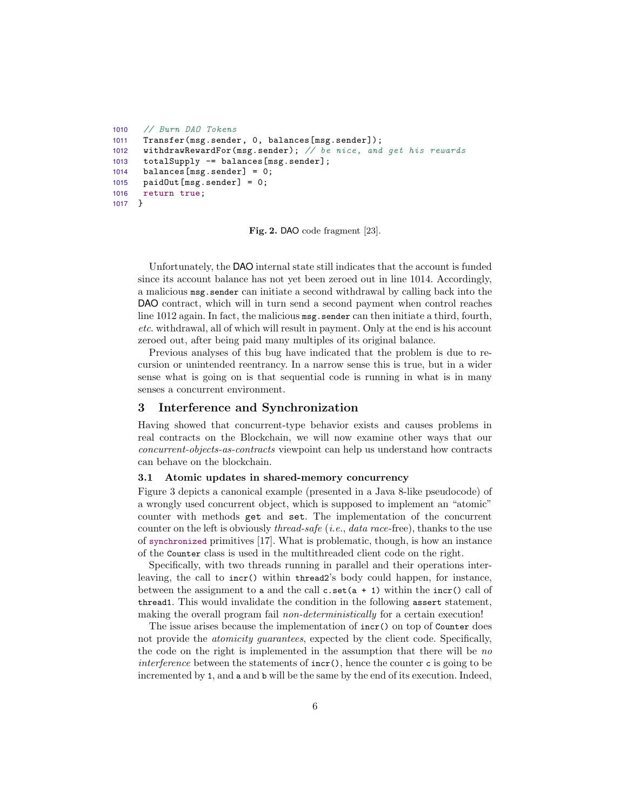```
1010 // Burn DAO Tokens
1011 Transfer(msg.sender, 0, balances[msg.sender]);
1012 withdrawRewardFor(msg.sender); // be nice, and get his rewards
1013 totalSupply -= balances[msg.sender];
1014 balances[msg.sender] = 0;
1015 paidOut[msg.sender] = 0;
1016 return true;
1017 }
```
<span id="page-5-0"></span>Fig. 2. DAO code fragment [\[23\]](#page-14-5).

Unfortunately, the DAO internal state still indicates that the account is funded since its account balance has not yet been zeroed out in line [1014.](#page-5-2) Accordingly, a malicious msg.sender can initiate a second withdrawal by calling back into the DAO contract, which will in turn send a second payment when control reaches line [1012](#page-5-1) again. In fact, the malicious msg.sender can then initiate a third, fourth, etc. withdrawal, all of which will result in payment. Only at the end is his account zeroed out, after being paid many multiples of its original balance.

Previous analyses of this bug have indicated that the problem is due to recursion or unintended reentrancy. In a narrow sense this is true, but in a wider sense what is going on is that sequential code is running in what is in many senses a concurrent environment.

# <span id="page-5-3"></span>3 Interference and Synchronization

Having showed that concurrent-type behavior exists and causes problems in real contracts on the Blockchain, we will now examine other ways that our concurrent-objects-as-contracts viewpoint can help us understand how contracts can behave on the blockchain.

#### 3.1 Atomic updates in shared-memory concurrency

Figure [3](#page-6-0) depicts a canonical example (presented in a Java 8-like pseudocode) of a wrongly used concurrent object, which is supposed to implement an "atomic" counter with methods get and set. The implementation of the concurrent counter on the left is obviously *thread-safe* (*i.e.*, *data race*-free), thanks to the use of synchronized primitives [\[17\]](#page-13-7). What is problematic, though, is how an instance of the Counter class is used in the multithreaded client code on the right.

Specifically, with two threads running in parallel and their operations interleaving, the call to incr() within thread2's body could happen, for instance, between the assignment to a and the call  $c.set(a + 1)$  within the incr() call of thread1. This would invalidate the condition in the following assert statement, making the overall program fail non-deterministically for a certain execution!

The issue arises because the implementation of incr() on top of Counter does not provide the *atomicity quarantees*, expected by the client code. Specifically, the code on the right is implemented in the assumption that there will be no interference between the statements of incr(), hence the counter c is going to be incremented by 1, and a and b will be the same by the end of its execution. Indeed,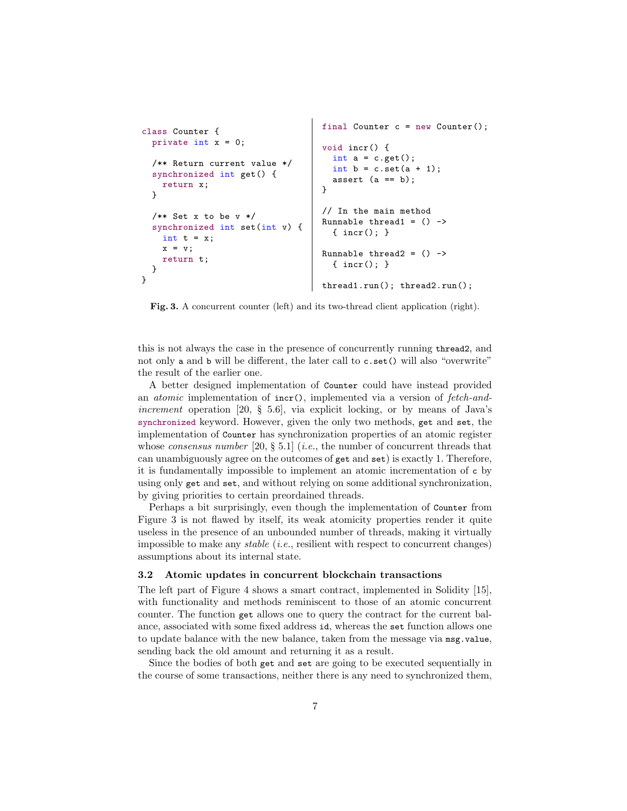```
class Counter {
  private int x = 0;
  /** Return current value */
  synchronized int get() {
    return x;
  }
  /** Set x to be v */synchronized int set(int v) {
    int t = x;
    x = v:
    return t;
  }
}
                                    final Counter c = new Counter();
                                    void incr() {
                                      int a = c.get();
                                      int b = c.set(a + 1);assert (a == b);
                                    }
                                    // In the main method
                                    Runnable thread1 = () ->
                                      { incr(); }
                                    Runnable thread2 = () ->
                                      { incr(); }
                                    thread1.run(); thread2.run();
```
<span id="page-6-0"></span>Fig. 3. A concurrent counter (left) and its two-thread client application (right).

this is not always the case in the presence of concurrently running thread2, and not only a and b will be different, the later call to c.set() will also "overwrite" the result of the earlier one.

A better designed implementation of Counter could have instead provided an *atomic* implementation of incr(), implemented via a version of *fetch-and*increment operation [\[20,](#page-14-3) § 5.6], via explicit locking, or by means of Java's synchronized keyword. However, given the only two methods, get and set, the implementation of Counter has synchronization properties of an atomic register whose consensus number  $[20, \, \xi, 5, 1]$  $[20, \, \xi, 5, 1]$  (*i.e.*, the number of concurrent threads that can unambiguously agree on the outcomes of get and set) is exactly 1. Therefore, it is fundamentally impossible to implement an atomic incrementation of c by using only get and set, and without relying on some additional synchronization, by giving priorities to certain preordained threads.

Perhaps a bit surprisingly, even though the implementation of Counter from Figure [3](#page-6-0) is not flawed by itself, its weak atomicity properties render it quite useless in the presence of an unbounded number of threads, making it virtually impossible to make any *stable* (*i.e.*, resilient with respect to concurrent changes) assumptions about its internal state.

#### 3.2 Atomic updates in concurrent blockchain transactions

The left part of Figure [4](#page-7-0) shows a smart contract, implemented in Solidity [\[15\]](#page-13-2), with functionality and methods reminiscent to those of an atomic concurrent counter. The function get allows one to query the contract for the current balance, associated with some fixed address id, whereas the set function allows one to update balance with the new balance, taken from the message via msg.value, sending back the old amount and returning it as a result.

Since the bodies of both get and set are going to be executed sequentially in the course of some transactions, neither there is any need to synchronized them,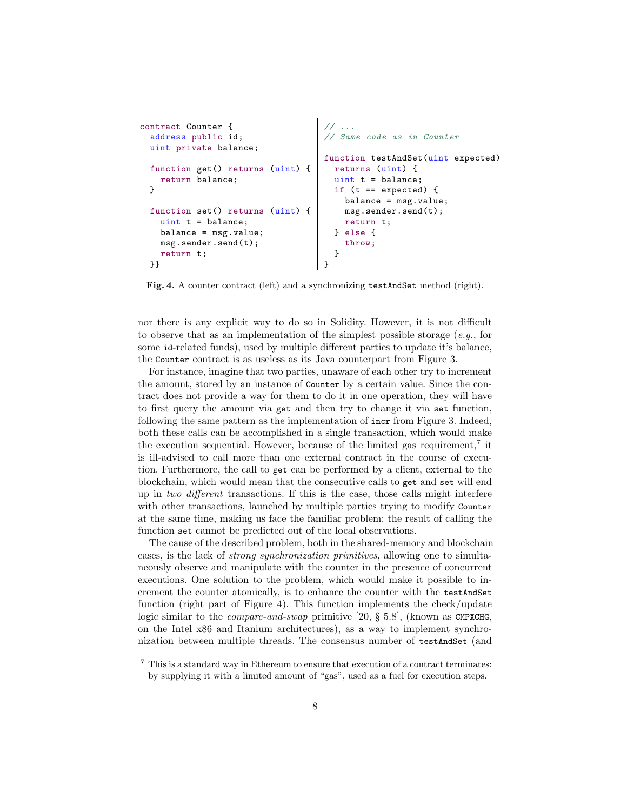```
contract Counter {
  address public id;
  uint private balance;
  function get() returns (uint) {
    return balance;
  }
  function set() returns (uint) {
    uint t = balance;
    balance = msg.value;
    msg.sender.send(t);
    return t;
  }}
                                     // ...
                                     // Same code as in Counter
                                    function testAndSet(uint expected)
                                      returns (uint) {
                                       uint t = balance;
                                       if (t == expected) {
                                         balance = msg.value;
                                         msg.sender.send(t);
                                         return t;
                                       } else {
                                         throw;
                                       }
                                     }
```
<span id="page-7-0"></span>Fig. 4. A counter contract (left) and a synchronizing testAndSet method (right).

nor there is any explicit way to do so in Solidity. However, it is not difficult to observe that as an implementation of the simplest possible storage (e.g., for some id-related funds), used by multiple different parties to update it's balance, the Counter contract is as useless as its Java counterpart from Figure [3.](#page-6-0)

For instance, imagine that two parties, unaware of each other try to increment the amount, stored by an instance of Counter by a certain value. Since the contract does not provide a way for them to do it in one operation, they will have to first query the amount via get and then try to change it via set function, following the same pattern as the implementation of incr from Figure [3.](#page-6-0) Indeed, both these calls can be accomplished in a single transaction, which would make the execution sequential. However, because of the limited gas requirement,<sup>[7](#page-7-1)</sup> it is ill-advised to call more than one external contract in the course of execution. Furthermore, the call to get can be performed by a client, external to the blockchain, which would mean that the consecutive calls to get and set will end up in two different transactions. If this is the case, those calls might interfere with other transactions, launched by multiple parties trying to modify Counter at the same time, making us face the familiar problem: the result of calling the function set cannot be predicted out of the local observations.

The cause of the described problem, both in the shared-memory and blockchain cases, is the lack of strong synchronization primitives, allowing one to simultaneously observe and manipulate with the counter in the presence of concurrent executions. One solution to the problem, which would make it possible to increment the counter atomically, is to enhance the counter with the testAndSet function (right part of Figure [4\)](#page-7-0). This function implements the check/update logic similar to the *compare-and-swap* primitive [\[20,](#page-14-3)  $\S$  5.8], (known as CMPXCHG, on the Intel x86 and Itanium architectures), as a way to implement synchronization between multiple threads. The consensus number of testAndSet (and

<span id="page-7-1"></span> $^7$  This is a standard way in Ethereum to ensure that execution of a contract terminates: by supplying it with a limited amount of "gas", used as a fuel for execution steps.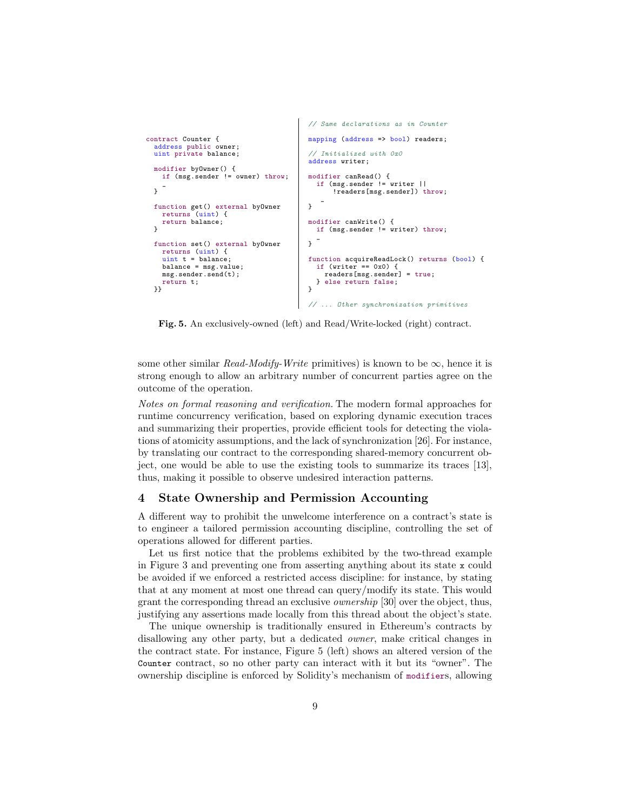```
contract Counter {
  address public owner;
uint private balance;
 modifier byOwner() {
   if (msg.sender != owner) throw;
    _
 \mathbf{r}function get() external byOwner
   returns (uint) {
   return balance;
 \mathbf{r}function set() external byOwner
   returns (uint) {
    uint t = balance;balance = msg.value;
   msg.sender.send(t);
    return t;
 }}
                                           // Same declarations as in Counter
                                           mapping (address =) bool) readers;
                                           // Initialized with 0x0
                                           address writer;
                                           modifier canRead() {
                                             if (msg.sender != writer ||
                                                 !readers[msg.sender]) throw;
                                              _
                                           }
                                           modifier canWrite() {
                                             if (msg.sender != writer) throw;
                                             _
                                           }
                                           function acquireReadLock() returns (bool) {
                                             if (writer == 0x0) {
                                               readers[msg.sender] = true;
                                             } else return false;
                                           }
                                           // ... Other synchronization primitives
```
<span id="page-8-0"></span>Fig. 5. An exclusively-owned (left) and Read/Write-locked (right) contract.

some other similar  $Read-Modify-Write$  primitives) is known to be  $\infty$ , hence it is strong enough to allow an arbitrary number of concurrent parties agree on the outcome of the operation.

Notes on formal reasoning and verification. The modern formal approaches for runtime concurrency verification, based on exploring dynamic execution traces and summarizing their properties, provide efficient tools for detecting the violations of atomicity assumptions, and the lack of synchronization [\[26\]](#page-14-6). For instance, by translating our contract to the corresponding shared-memory concurrent object, one would be able to use the existing tools to summarize its traces [\[13\]](#page-13-8), thus, making it possible to observe undesired interaction patterns.

# <span id="page-8-1"></span>4 State Ownership and Permission Accounting

A different way to prohibit the unwelcome interference on a contract's state is to engineer a tailored permission accounting discipline, controlling the set of operations allowed for different parties.

Let us first notice that the problems exhibited by the two-thread example in Figure [3](#page-6-0) and preventing one from asserting anything about its state  $x$  could be avoided if we enforced a restricted access discipline: for instance, by stating that at any moment at most one thread can query/modify its state. This would grant the corresponding thread an exclusive ownership [\[30\]](#page-14-7) over the object, thus, justifying any assertions made locally from this thread about the object's state.

The unique ownership is traditionally ensured in Ethereum's contracts by disallowing any other party, but a dedicated owner, make critical changes in the contract state. For instance, Figure [5](#page-8-0) (left) shows an altered version of the Counter contract, so no other party can interact with it but its "owner". The ownership discipline is enforced by Solidity's mechanism of modifiers, allowing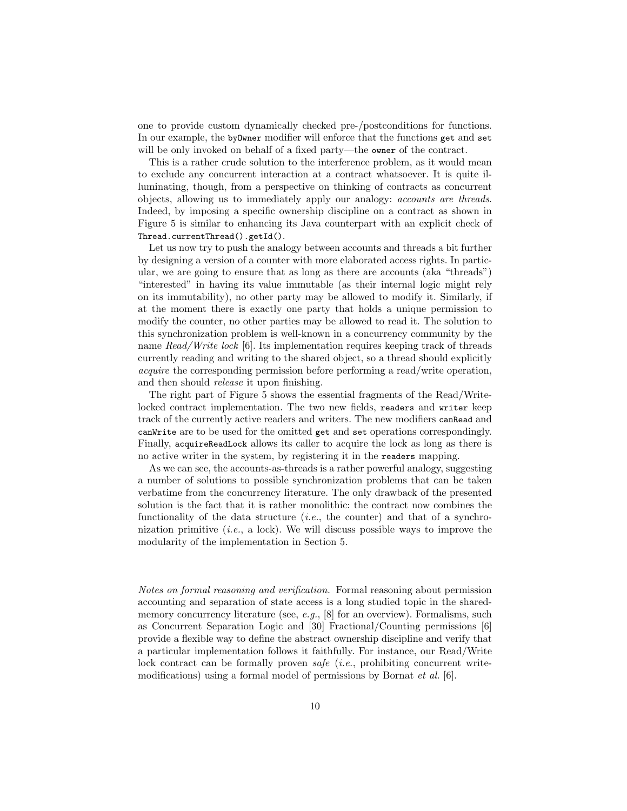one to provide custom dynamically checked pre-/postconditions for functions. In our example, the byOwner modifier will enforce that the functions get and set will be only invoked on behalf of a fixed party—the **owner** of the contract.

This is a rather crude solution to the interference problem, as it would mean to exclude any concurrent interaction at a contract whatsoever. It is quite illuminating, though, from a perspective on thinking of contracts as concurrent objects, allowing us to immediately apply our analogy: accounts are threads. Indeed, by imposing a specific ownership discipline on a contract as shown in Figure [5](#page-8-0) is similar to enhancing its Java counterpart with an explicit check of Thread.currentThread().getId().

Let us now try to push the analogy between accounts and threads a bit further by designing a version of a counter with more elaborated access rights. In particular, we are going to ensure that as long as there are accounts (aka "threads") "interested" in having its value immutable (as their internal logic might rely on its immutability), no other party may be allowed to modify it. Similarly, if at the moment there is exactly one party that holds a unique permission to modify the counter, no other parties may be allowed to read it. The solution to this synchronization problem is well-known in a concurrency community by the name Read/Write lock [\[6\]](#page-13-9). Its implementation requires keeping track of threads currently reading and writing to the shared object, so a thread should explicitly acquire the corresponding permission before performing a read/write operation, and then should release it upon finishing.

The right part of Figure [5](#page-8-0) shows the essential fragments of the Read/Writelocked contract implementation. The two new fields, readers and writer keep track of the currently active readers and writers. The new modifiers canRead and canWrite are to be used for the omitted get and set operations correspondingly. Finally, acquireReadLock allows its caller to acquire the lock as long as there is no active writer in the system, by registering it in the readers mapping.

As we can see, the accounts-as-threads is a rather powerful analogy, suggesting a number of solutions to possible synchronization problems that can be taken verbatime from the concurrency literature. The only drawback of the presented solution is the fact that it is rather monolithic: the contract now combines the functionality of the data structure  $(i.e.,$  the counter) and that of a synchronization primitive  $(i.e., a lock)$ . We will discuss possible ways to improve the modularity of the implementation in Section [5.](#page-9-0)

<span id="page-9-0"></span>Notes on formal reasoning and verification. Formal reasoning about permission accounting and separation of state access is a long studied topic in the shared-memory concurrency literature (see, e.g., [\[8\]](#page-13-10) for an overview). Formalisms, such as Concurrent Separation Logic and [\[30\]](#page-14-7) Fractional/Counting permissions [\[6\]](#page-13-9) provide a flexible way to define the abstract ownership discipline and verify that a particular implementation follows it faithfully. For instance, our Read/Write lock contract can be formally proven *safe* (*i.e.*, prohibiting concurrent writemodifications) using a formal model of permissions by Bornat et al. [\[6\]](#page-13-9).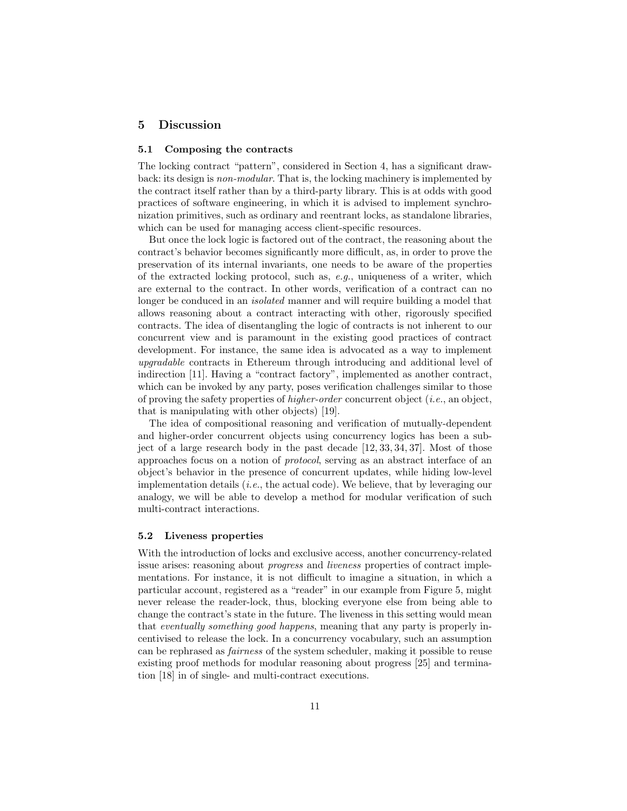# 5 Discussion

#### 5.1 Composing the contracts

The locking contract "pattern", considered in Section [4,](#page-8-1) has a significant drawback: its design is non-modular. That is, the locking machinery is implemented by the contract itself rather than by a third-party library. This is at odds with good practices of software engineering, in which it is advised to implement synchronization primitives, such as ordinary and reentrant locks, as standalone libraries, which can be used for managing access client-specific resources.

But once the lock logic is factored out of the contract, the reasoning about the contract's behavior becomes significantly more difficult, as, in order to prove the preservation of its internal invariants, one needs to be aware of the properties of the extracted locking protocol, such as, e.g., uniqueness of a writer, which are external to the contract. In other words, verification of a contract can no longer be conduced in an *isolated* manner and will require building a model that allows reasoning about a contract interacting with other, rigorously specified contracts. The idea of disentangling the logic of contracts is not inherent to our concurrent view and is paramount in the existing good practices of contract development. For instance, the same idea is advocated as a way to implement upgradable contracts in Ethereum through introducing and additional level of indirection [\[11\]](#page-13-11). Having a "contract factory", implemented as another contract, which can be invoked by any party, poses verification challenges similar to those of proving the safety properties of *higher-order* concurrent object (*i.e.*, an object, that is manipulating with other objects) [\[19\]](#page-14-8).

The idea of compositional reasoning and verification of mutually-dependent and higher-order concurrent objects using concurrency logics has been a subject of a large research body in the past decade [\[12,](#page-13-12) [33,](#page-14-9) [34,](#page-14-10) [37\]](#page-14-11). Most of those approaches focus on a notion of protocol, serving as an abstract interface of an object's behavior in the presence of concurrent updates, while hiding low-level implementation details  $(i.e.,$  the actual code). We believe, that by leveraging our analogy, we will be able to develop a method for modular verification of such multi-contract interactions.

#### 5.2 Liveness properties

With the introduction of locks and exclusive access, another concurrency-related issue arises: reasoning about *progress* and *liveness* properties of contract implementations. For instance, it is not difficult to imagine a situation, in which a particular account, registered as a "reader" in our example from Figure [5,](#page-8-0) might never release the reader-lock, thus, blocking everyone else from being able to change the contract's state in the future. The liveness in this setting would mean that eventually something good happens, meaning that any party is properly incentivised to release the lock. In a concurrency vocabulary, such an assumption can be rephrased as fairness of the system scheduler, making it possible to reuse existing proof methods for modular reasoning about progress [\[25\]](#page-14-12) and termination [\[18\]](#page-14-13) in of single- and multi-contract executions.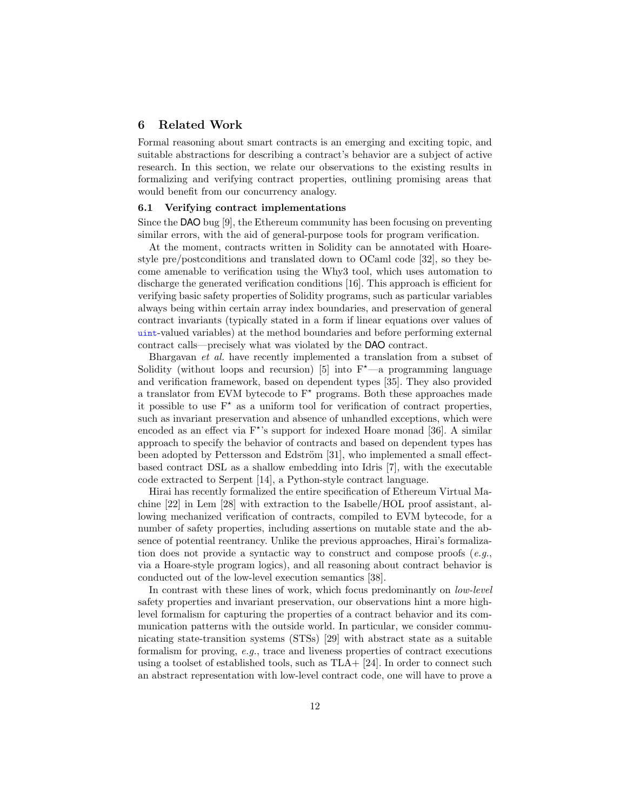# 6 Related Work

Formal reasoning about smart contracts is an emerging and exciting topic, and suitable abstractions for describing a contract's behavior are a subject of active research. In this section, we relate our observations to the existing results in formalizing and verifying contract properties, outlining promising areas that would benefit from our concurrency analogy.

#### 6.1 Verifying contract implementations

Since the DAO bug [\[9\]](#page-13-3), the Ethereum community has been focusing on preventing similar errors, with the aid of general-purpose tools for program verification.

At the moment, contracts written in Solidity can be annotated with Hoarestyle pre/postconditions and translated down to OCaml code [\[32\]](#page-14-2), so they become amenable to verification using the Why3 tool, which uses automation to discharge the generated verification conditions [\[16\]](#page-13-1). This approach is efficient for verifying basic safety properties of Solidity programs, such as particular variables always being within certain array index boundaries, and preservation of general contract invariants (typically stated in a form if linear equations over values of uint-valued variables) at the method boundaries and before performing external contract calls—precisely what was violated by the DAO contract.

Bhargavan et al. have recently implemented a translation from a subset of Solidity (without loops and recursion) [\[5\]](#page-13-0) into  $F^*$ —a programming language and verification framework, based on dependent types [\[35\]](#page-14-14). They also provided a translator from EVM bytecode to  $F^*$  programs. Both these approaches made it possible to use  $F^*$  as a uniform tool for verification of contract properties, such as invariant preservation and absence of unhandled exceptions, which were encoded as an effect via  $F^*$ 's support for indexed Hoare monad [\[36\]](#page-14-15). A similar approach to specify the behavior of contracts and based on dependent types has been adopted by Pettersson and Edström [\[31\]](#page-14-1), who implemented a small effectbased contract DSL as a shallow embedding into Idris [\[7\]](#page-13-13), with the executable code extracted to Serpent [\[14\]](#page-13-14), a Python-style contract language.

Hirai has recently formalized the entire specification of Ethereum Virtual Machine [\[22\]](#page-14-16) in Lem [\[28\]](#page-14-17) with extraction to the Isabelle/HOL proof assistant, allowing mechanized verification of contracts, compiled to EVM bytecode, for a number of safety properties, including assertions on mutable state and the absence of potential reentrancy. Unlike the previous approaches, Hirai's formalization does not provide a syntactic way to construct and compose proofs  $(e.g.,)$ via a Hoare-style program logics), and all reasoning about contract behavior is conducted out of the low-level execution semantics [\[38\]](#page-14-0).

In contrast with these lines of work, which focus predominantly on low-level safety properties and invariant preservation, our observations hint a more highlevel formalism for capturing the properties of a contract behavior and its communication patterns with the outside world. In particular, we consider communicating state-transition systems (STSs) [\[29\]](#page-14-18) with abstract state as a suitable formalism for proving, e.g., trace and liveness properties of contract executions using a toolset of established tools, such as  $TLA + [24]$  $TLA + [24]$ . In order to connect such an abstract representation with low-level contract code, one will have to prove a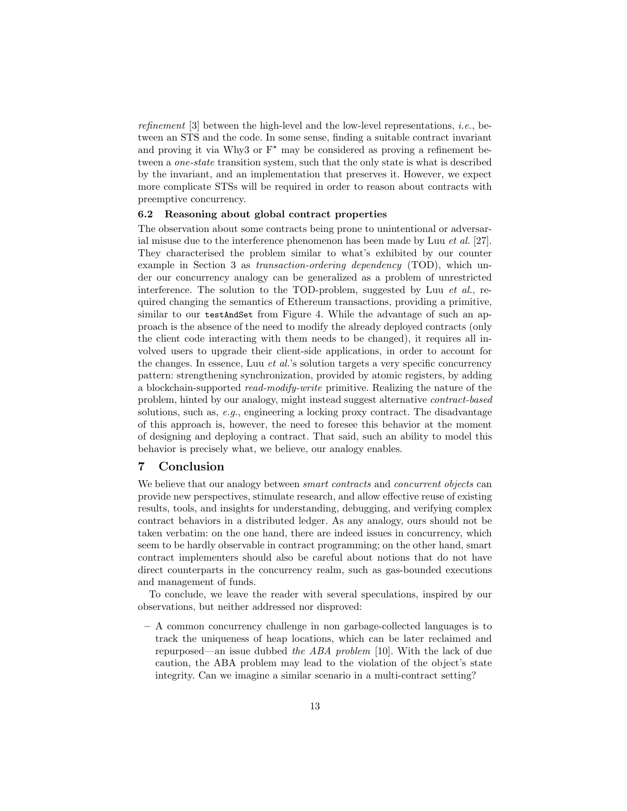refinement  $[3]$  between the high-level and the low-level representations, *i.e.*, between an STS and the code. In some sense, finding a suitable contract invariant and proving it via Why3 or  $F^*$  may be considered as proving a refinement between a *one-state* transition system, such that the only state is what is described by the invariant, and an implementation that preserves it. However, we expect more complicate STSs will be required in order to reason about contracts with preemptive concurrency.

#### 6.2 Reasoning about global contract properties

The observation about some contracts being prone to unintentional or adversarial misuse due to the interference phenomenon has been made by Luu et al. [\[27\]](#page-14-4). They characterised the problem similar to what's exhibited by our counter example in Section [3](#page-5-3) as *transaction-ordering dependency* (TOD), which under our concurrency analogy can be generalized as a problem of unrestricted interference. The solution to the TOD-problem, suggested by Luu  $et \ al.$ , required changing the semantics of Ethereum transactions, providing a primitive, similar to our testAndSet from Figure [4.](#page-7-0) While the advantage of such an approach is the absence of the need to modify the already deployed contracts (only the client code interacting with them needs to be changed), it requires all involved users to upgrade their client-side applications, in order to account for the changes. In essence, Luu et al.'s solution targets a very specific concurrency pattern: strengthening synchronization, provided by atomic registers, by adding a blockchain-supported read-modify-write primitive. Realizing the nature of the problem, hinted by our analogy, might instead suggest alternative contract-based solutions, such as,  $e.g.,$  engineering a locking proxy contract. The disadvantage of this approach is, however, the need to foresee this behavior at the moment of designing and deploying a contract. That said, such an ability to model this behavior is precisely what, we believe, our analogy enables.

# 7 Conclusion

We believe that our analogy between *smart contracts* and *concurrent objects* can provide new perspectives, stimulate research, and allow effective reuse of existing results, tools, and insights for understanding, debugging, and verifying complex contract behaviors in a distributed ledger. As any analogy, ours should not be taken verbatim: on the one hand, there are indeed issues in concurrency, which seem to be hardly observable in contract programming; on the other hand, smart contract implementers should also be careful about notions that do not have direct counterparts in the concurrency realm, such as gas-bounded executions and management of funds.

To conclude, we leave the reader with several speculations, inspired by our observations, but neither addressed nor disproved:

– A common concurrency challenge in non garbage-collected languages is to track the uniqueness of heap locations, which can be later reclaimed and repurposed—an issue dubbed the ABA problem [\[10\]](#page-13-16). With the lack of due caution, the ABA problem may lead to the violation of the object's state integrity. Can we imagine a similar scenario in a multi-contract setting?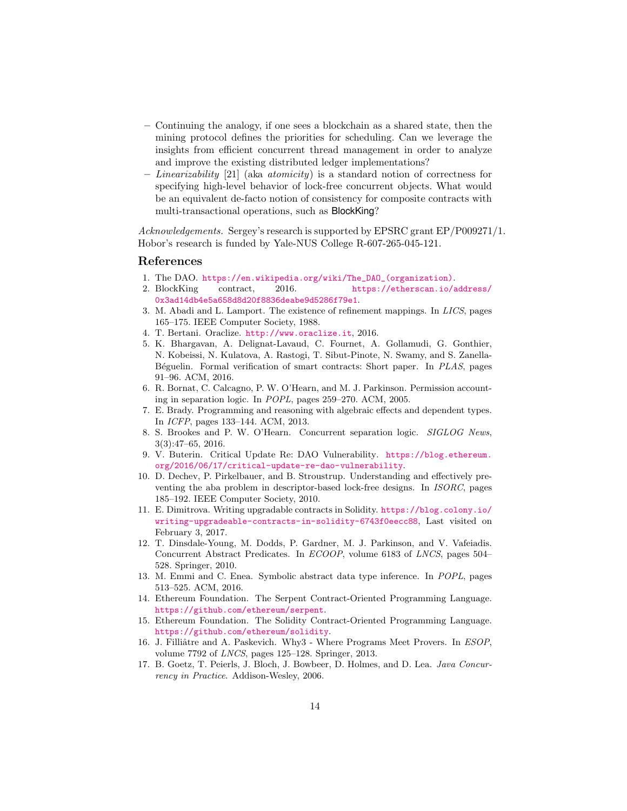- Continuing the analogy, if one sees a blockchain as a shared state, then the mining protocol defines the priorities for scheduling. Can we leverage the insights from efficient concurrent thread management in order to analyze and improve the existing distributed ledger implementations?
- $-$  Linearizability [\[21\]](#page-14-20) (aka atomicity) is a standard notion of correctness for specifying high-level behavior of lock-free concurrent objects. What would be an equivalent de-facto notion of consistency for composite contracts with multi-transactional operations, such as BlockKing?

Acknowledgements. Sergey's research is supported by EPSRC grant EP/P009271/1. Hobor's research is funded by Yale-NUS College R-607-265-045-121.

#### References

- <span id="page-13-6"></span>1. The DAO. [https://en.wikipedia.org/wiki/The\\_DAO\\_\(organization\)](https://en.wikipedia.org/wiki/The_DAO_(organization)).
- <span id="page-13-4"></span>2. BlockKing contract, 2016. [https://etherscan.io/address/](https://etherscan.io/address/0x3ad14db4e5a658d8d20f8836deabe9d5286f79e1) [0x3ad14db4e5a658d8d20f8836deabe9d5286f79e1](https://etherscan.io/address/0x3ad14db4e5a658d8d20f8836deabe9d5286f79e1).
- <span id="page-13-15"></span>3. M. Abadi and L. Lamport. The existence of refinement mappings. In LICS, pages 165–175. IEEE Computer Society, 1988.
- <span id="page-13-5"></span>4. T. Bertani. Oraclize. <http://www.oraclize.it>, 2016.
- <span id="page-13-0"></span>5. K. Bhargavan, A. Delignat-Lavaud, C. Fournet, A. Gollamudi, G. Gonthier, N. Kobeissi, N. Kulatova, A. Rastogi, T. Sibut-Pinote, N. Swamy, and S. Zanella-Béguelin. Formal verification of smart contracts: Short paper. In PLAS, pages 91–96. ACM, 2016.
- <span id="page-13-9"></span>6. R. Bornat, C. Calcagno, P. W. O'Hearn, and M. J. Parkinson. Permission accounting in separation logic. In POPL, pages 259–270. ACM, 2005.
- <span id="page-13-13"></span>7. E. Brady. Programming and reasoning with algebraic effects and dependent types. In ICFP, pages 133–144. ACM, 2013.
- <span id="page-13-10"></span>8. S. Brookes and P. W. O'Hearn. Concurrent separation logic. SIGLOG News, 3(3):47–65, 2016.
- <span id="page-13-3"></span>9. V. Buterin. Critical Update Re: DAO Vulnerability. [https://blog.ethereum.](https://blog.ethereum.org/2016/06/17/critical-update-re-dao-vulnerability) [org/2016/06/17/critical-update-re-dao-vulnerability](https://blog.ethereum.org/2016/06/17/critical-update-re-dao-vulnerability).
- <span id="page-13-16"></span>10. D. Dechev, P. Pirkelbauer, and B. Stroustrup. Understanding and effectively preventing the aba problem in descriptor-based lock-free designs. In ISORC, pages 185–192. IEEE Computer Society, 2010.
- <span id="page-13-11"></span>11. E. Dimitrova. Writing upgradable contracts in Solidity. [https://blog.colony.io/](https://blog.colony.io/writing-upgradeable-contracts-in-solidity-6743f0eecc88) [writing-upgradeable-contracts-in-solidity-6743f0eecc88](https://blog.colony.io/writing-upgradeable-contracts-in-solidity-6743f0eecc88), Last visited on February 3, 2017.
- <span id="page-13-12"></span>12. T. Dinsdale-Young, M. Dodds, P. Gardner, M. J. Parkinson, and V. Vafeiadis. Concurrent Abstract Predicates. In ECOOP, volume 6183 of LNCS, pages 504– 528. Springer, 2010.
- <span id="page-13-8"></span>13. M. Emmi and C. Enea. Symbolic abstract data type inference. In POPL, pages 513–525. ACM, 2016.
- <span id="page-13-14"></span>14. Ethereum Foundation. The Serpent Contract-Oriented Programming Language. <https://github.com/ethereum/serpent>.
- <span id="page-13-2"></span>15. Ethereum Foundation. The Solidity Contract-Oriented Programming Language. <https://github.com/ethereum/solidity>.
- <span id="page-13-1"></span>16. J. Filliâtre and A. Paskevich. Why3 - Where Programs Meet Provers. In ESOP, volume 7792 of LNCS, pages 125–128. Springer, 2013.
- <span id="page-13-7"></span>17. B. Goetz, T. Peierls, J. Bloch, J. Bowbeer, D. Holmes, and D. Lea. Java Concurrency in Practice. Addison-Wesley, 2006.